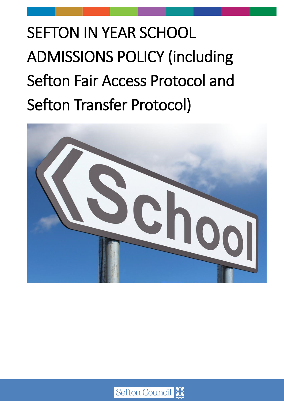SEFTON IN YEAR SCHOOL ADMISSIONS POLICY (including Sefton Fair Access Protocol and Sefton Transfer Protocol)



Sefton Council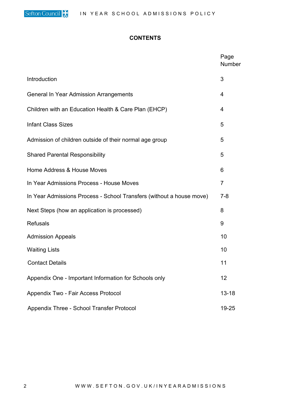#### **CONTENTS**

|                                                                      | Page<br>Number |
|----------------------------------------------------------------------|----------------|
| Introduction                                                         | 3              |
| <b>General In Year Admission Arrangements</b>                        | 4              |
| Children with an Education Health & Care Plan (EHCP)                 | 4              |
| <b>Infant Class Sizes</b>                                            | 5              |
| Admission of children outside of their normal age group              | 5              |
| <b>Shared Parental Responsibility</b>                                | 5              |
| Home Address & House Moves                                           | 6              |
| In Year Admissions Process - House Moves                             | $\overline{7}$ |
| In Year Admissions Process - School Transfers (without a house move) | $7 - 8$        |
| Next Steps (how an application is processed)                         | 8              |
| <b>Refusals</b>                                                      | 9              |
| <b>Admission Appeals</b>                                             | 10             |
| <b>Waiting Lists</b>                                                 | 10             |
| <b>Contact Details</b>                                               | 11             |
| Appendix One - Important Information for Schools only                | 12             |
| Appendix Two - Fair Access Protocol                                  | $13 - 18$      |
| Appendix Three - School Transfer Protocol                            | 19-25          |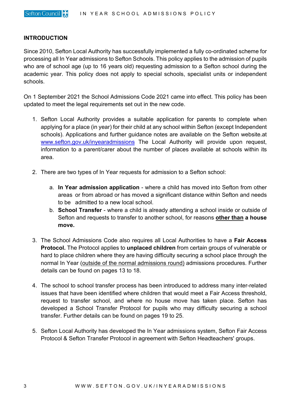### **INTRODUCTION**

Since 2010, Sefton Local Authority has successfully implemented a fully co-ordinated scheme for processing all In Year admissions to Sefton Schools. This policy applies to the admission of pupils who are of school age (up to 16 years old) requesting admission to a Sefton school during the academic year. This policy does not apply to special schools, specialist units or independent schools.

On 1 September 2021 the School Admissions Code 2021 came into effect. This policy has been updated to meet the legal requirements set out in the new code.

- 1. Sefton Local Authority provides a suitable application for parents to complete when applying for a place (in year) for their child at any school within Sefton (except Independent schools). Applications and further guidance notes are available on the Sefton website.at [www.sefton.gov.uk/inyearadmissions](http://www.sefton.gov.uk/inyearadmissions) The Local Authority will provide upon request, information to a parent/carer about the number of places available at schools within its area.
- 2. There are two types of In Year requests for admission to a Sefton school:
	- a. **In Year admission application** where a child has moved into Sefton from other areas or from abroad or has moved a significant distance within Sefton and needs to be admitted to a new local school.
	- b. **School Transfer** where a child is already attending a school inside or outside of Sefton and requests to transfer to another school, for reasons **other than a house move.**
- 3. The School Admissions Code also requires all Local Authorities to have a **Fair Access Protocol.** The Protocol applies to **unplaced children** from certain groups of vulnerable or hard to place children where they are having difficulty securing a school place through the normal In Year (outside of the normal admissions round) admissions procedures. Further details can be found on pages 13 to 18.
- 4. The school to school transfer process has been introduced to address many inter-related issues that have been identified where children that would meet a Fair Access threshold, request to transfer school, and where no house move has taken place. Sefton has developed a School Transfer Protocol for pupils who may difficulty securing a school transfer. Further details can be found on pages 19 to 25.
- 5. Sefton Local Authority has developed the In Year admissions system, Sefton Fair Access Protocol & Sefton Transfer Protocol in agreement with Sefton Headteachers' groups.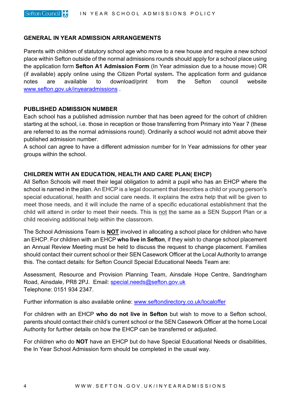### **GENERAL IN YEAR ADMISSION ARRANGEMENTS**

Parents with children of statutory school age who move to a new house and require a new school place within Sefton outside of the normal admissions rounds should apply for a school place using the application form **Sefton A1 Admission Form** (In Year admission due to a house move) OR (if available) apply online using the Citizen Portal system**.** The application form and guidance notes are available to download/print from the Sefton council website [www.sefton.gov.uk/inyearadmissions](http://www.sefton.gov.uk/inyearadmissions) .

#### **PUBLISHED ADMISSION NUMBER**

Each school has a published admission number that has been agreed for the cohort of children starting at the school, i.e. those in reception or those transferring from Primary into Year 7 (these are referred to as the normal admissions round). Ordinarily a school would not admit above their published admission number.

A school can agree to have a different admission number for In Year admissions for other year groups within the school.

#### **CHILDREN WITH AN EDUCATION, HEALTH AND CARE PLAN( EHCP)**

All Sefton Schools will meet their legal obligation to admit a pupil who has an EHCP where the school is named in the plan. An EHCP is a legal document that describes a child or young person's special educational, health and social care needs. It explains the extra help that will be given to meet those needs, and it will include the name of a specific educational establishment that the child will attend in order to meet their needs. This is not the same as a SEN Support Plan or a child receiving additional help within the classroom.

The School Admissions Team is **NOT** involved in allocating a school place for children who have an EHCP. For children with an EHCP **who live in Sefton**, if they wish to change school placement an Annual Review Meeting must be held to discuss the request to change placement. Families should contact their current school or their SEN Casework Officer at the Local Authority to arrange this. The contact details: for Sefton Council Special Educational Needs Team are:

Assessment, Resource and Provision Planning Team, Ainsdale Hope Centre, Sandringham Road, Ainsdale, PR8 2PJ. Email: [special.needs@sefton.gov.uk](mailto:special.needs@sefton.gov.uk)  Telephone: 0151 934 2347.

Further information is also available online: [www.seftondirectory.co.uk/localoffer](http://www.seftondirectory.co.uk/localoffer)

For children with an EHCP **who do not live in Sefton** but wish to move to a Sefton school, parents should contact their child's current school or the SEN Casework Officer at the home Local Authority for further details on how the EHCP can be transferred or adjusted.

For children who do **NOT** have an EHCP but do have Special Educational Needs or disabilities, the In Year School Admission form should be completed in the usual way.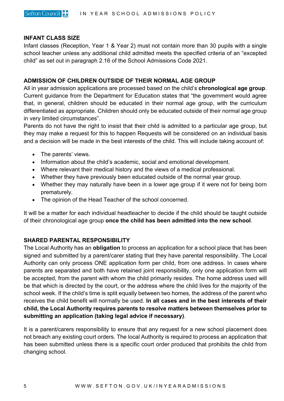## **INFANT CLASS SIZE**

Infant classes (Reception, Year 1 & Year 2) must not contain more than 30 pupils with a single school teacher unless any additional child admitted meets the specified criteria of an "excepted child" as set out in paragraph 2.16 of the School Admissions Code 2021.

## **ADMISSION OF CHILDREN OUTSIDE OF THEIR NORMAL AGE GROUP**

All in year admission applications are processed based on the child's **chronological age group**. Current guidance from the Department for Education states that "the government would agree that, in general, children should be educated in their normal age group, with the curriculum differentiated as appropriate. Children should only be educated outside of their normal age group in very limited circumstances".

Parents do not have the right to insist that their child is admitted to a particular age group, but they may make a request for this to happen Requests will be considered on an individual basis and a decision will be made in the best interests of the child. This will include taking account of:

- The parents' views.
- Information about the child's academic, social and emotional development.
- Where relevant their medical history and the views of a medical professional.
- Whether they have previously been educated outside of the normal year group.
- Whether they may naturally have been in a lower age group if it were not for being born prematurely.
- The opinion of the Head Teacher of the school concerned.

It will be a matter for each individual headteacher to decide if the child should be taught outside of their chronological age group **once the child has been admitted into the new school**.

## **SHARED PARENTAL RESPONSIBILITY**

The Local Authority has an **obligation** to process an application for a school place that has been signed and submitted by a parent/carer stating that they have parental responsibility. The Local Authority can only process ONE application form per child, from one address. In cases where parents are separated and both have retained joint responsibility, only one application form will be accepted, from the parent with whom the child primarily resides. The home address used will be that which is directed by the court, or the address where the child lives for the majority of the school week. If the child's time is split equally between two homes, the address of the parent who receives the child benefit will normally be used. **In all cases and in the best interests of their child, the Local Authority requires parents to resolve matters between themselves prior to submitting an application (taking legal advice if necessary)**.

It is a parent/carers responsibility to ensure that any request for a new school placement does not breach any existing court orders. The local Authority is required to process an application that has been submitted unless there is a specific court order produced that prohibits the child from changing school.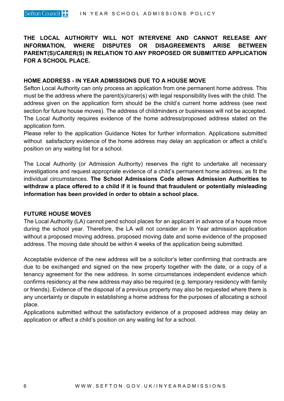**THE LOCAL AUTHORITY WILL NOT INTERVENE AND CANNOT RELEASE ANY INFORMATION, WHERE DISPUTES OR DISAGREEMENTS ARISE BETWEEN PARENT(S)/CARER(S) IN RELATION TO ANY PROPOSED OR SUBMITTED APPLICATION FOR A SCHOOL PLACE.**

## **HOME ADDRESS - IN YEAR ADMISSIONS DUE TO A HOUSE MOVE**

Sefton Local Authority can only process an application from one permanent home address. This must be the address where the parent(s)/carer(s) with legal responsibility lives with the child. The address given on the application form should be the child's current home address (see next section for future house moves). The address of childminders or businesses will not be accepted. The Local Authority requires evidence of the home address/proposed address stated on the application form.

Please refer to the application Guidance Notes for further information. Applications submitted without satisfactory evidence of the home address may delay an application or affect a child's position on any waiting list for a school.

The Local Authority (or Admission Authority) reserves the right to undertake all necessary investigations and request appropriate evidence of a child's permanent home address, as fit the individual circumstances. **The School Admissions Code allows Admission Authorities to withdraw a place offered to a child if it is found that fraudulent or potentially misleading information has been provided in order to obtain a school place.** 

#### **FUTURE HOUSE MOVES**

The Local Authority (LA) cannot pend school places for an applicant in advance of a house move during the school year. Therefore, the LA will not consider an In Year admission application without a proposed moving address, proposed moving date and some evidence of the proposed address. The moving date should be within 4 weeks of the application being submitted.

Acceptable evidence of the new address will be a solicitor's letter confirming that contracts are due to be exchanged and signed on the new property together with the date, or a copy of a tenancy agreement for the new address. In some circumstances independent evidence which confirms residency at the new address may also be required (e.g. temporary residency with family or friends). Evidence of the disposal of a previous property may also be requested where there is any uncertainty or dispute in establishing a home address for the purposes of allocating a school place.

Applications submitted without the satisfactory evidence of a proposed address may delay an application or affect a child's position on any waiting list for a school.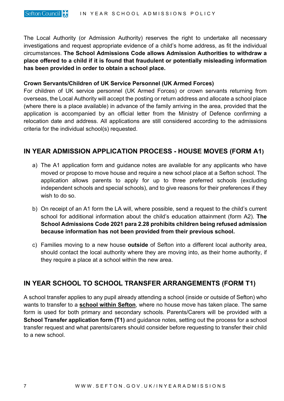The Local Authority (or Admission Authority) reserves the right to undertake all necessary investigations and request appropriate evidence of a child's home address, as fit the individual circumstances. **The School Admissions Code allows Admission Authorities to withdraw a place offered to a child if it is found that fraudulent or potentially misleading information has been provided in order to obtain a school place.** 

## **Crown Servants/Children of UK Service Personnel (UK Armed Forces)**

For children of UK service personnel (UK Armed Forces) or crown servants returning from overseas, the Local Authority will accept the posting or return address and allocate a school place (where there is a place available) in advance of the family arriving in the area, provided that the application is accompanied by an official letter from the Ministry of Defence confirming a relocation date and address. All applications are still considered according to the admissions criteria for the individual school(s) requested.

# **IN YEAR ADMISSION APPLICATION PROCESS - HOUSE MOVES (FORM A1)**

- a) The A1 application form and guidance notes are available for any applicants who have moved or propose to move house and require a new school place at a Sefton school. The application allows parents to apply for up to three preferred schools (excluding independent schools and special schools), and to give reasons for their preferences if they wish to do so.
- b) On receipt of an A1 form the LA will, where possible, send a request to the child's current school for additional information about the child's education attainment (form A2). **The School Admissions Code 2021 para 2.28 prohibits children being refused admission because information has not been provided from their previous school.**
- c) Families moving to a new house **outside** of Sefton into a different local authority area, should contact the local authority where they are moving into, as their home authority, if they require a place at a school within the new area.

# **IN YEAR SCHOOL TO SCHOOL TRANSFER ARRANGEMENTS (FORM T1)**

A school transfer applies to any pupil already attending a school (inside or outside of Sefton) who wants to transfer to a **school within Sefton**, where no house move has taken place. The same form is used for both primary and secondary schools. Parents/Carers will be provided with a **School Transfer application form (T1)** and guidance notes, setting out the process for a school transfer request and what parents/carers should consider before requesting to transfer their child to a new school.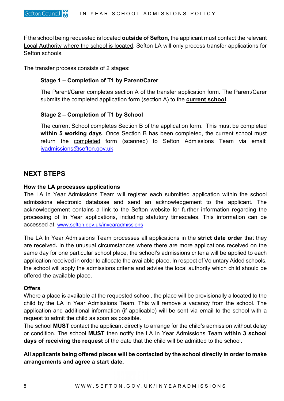If the school being requested is located **outside of Sefton**, the applicant must contact the relevant Local Authority where the school is located. Sefton LA will only process transfer applications for Sefton schools.

The transfer process consists of 2 stages:

## **Stage 1 – Completion of T1 by Parent/Carer**

The Parent/Carer completes section A of the transfer application form. The Parent/Carer submits the completed application form (section A) to the **current school**.

## **Stage 2 – Completion of T1 by School**

The current School completes Section B of the application form. This must be completed **within 5 working days**. Once Section B has been completed, the current school must return the **completed** form (scanned) to Sefton Admissions Team via email: [iyadmissions@sefton.gov.uk](mailto:iyadmissions@sefton.gov.uk) 

# **NEXT STEPS**

## **How the LA processes applications**

The LA In Year Admissions Team will register each submitted application within the school admissions electronic database and send an acknowledgement to the applicant. The acknowledgement contains a link to the Sefton website for further information regarding the processing of In Year applications, including statutory timescales. This information can be accessed at: [www.sefton.gov.uk/inyearadmissions](http://www.sefton.gov.uk/inyearadmissions)

The LA In Year Admissions Team processes all applications in the **strict date order** that they are received**.** In the unusual circumstances where there are more applications received on the same day for one particular school place, the school's admissions criteria will be applied to each application received in order to allocate the available place. In respect of Voluntary Aided schools, the school will apply the admissions criteria and advise the local authority which child should be offered the available place.

## **Offers**

Where a place is available at the requested school, the place will be provisionally allocated to the child by the LA In Year Admissions Team. This will remove a vacancy from the school. The application and additional information (if applicable) will be sent via email to the school with a request to admit the child as soon as possible.

The school **MUST** contact the applicant directly to arrange for the child's admission without delay or condition. The school **MUST** then notify the LA In Year Admissions Team **within 3 school days of receiving the request** of the date that the child will be admitted to the school.

**All applicants being offered places will be contacted by the school directly in order to make arrangements and agree a start date.**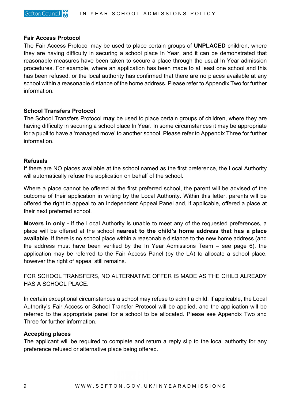#### **Fair Access Protocol**

The Fair Access Protocol may be used to place certain groups of **UNPLACED** children, where they are having difficulty in securing a school place In Year, and it can be demonstrated that reasonable measures have been taken to secure a place through the usual In Year admission procedures. For example, where an application has been made to at least one school and this has been refused, or the local authority has confirmed that there are no places available at any school within a reasonable distance of the home address. Please refer to Appendix Two for further information.

#### **School Transfers Protocol**

The School Transfers Protocol **may** be used to place certain groups of children, where they are having difficulty in securing a school place In Year. In some circumstances it may be appropriate for a pupil to have a 'managed move' to another school. Please refer to Appendix Three for further information.

#### **Refusals**

If there are NO places available at the school named as the first preference, the Local Authority will automatically refuse the application on behalf of the school.

Where a place cannot be offered at the first preferred school, the parent will be advised of the outcome of their application in writing by the Local Authority. Within this letter, parents will be offered the right to appeal to an Independent Appeal Panel and, if applicable, offered a place at their next preferred school.

**Movers in only -** If the Local Authority is unable to meet any of the requested preferences, a place will be offered at the school **nearest to the child's home address that has a place available**. If there is no school place within a reasonable distance to the new home address (and the address must have been verified by the In Year Admissions Team – see page 6), the application may be referred to the Fair Access Panel (by the LA) to allocate a school place, however the right of appeal still remains.

FOR SCHOOL TRANSFERS, NO ALTERNATIVE OFFER IS MADE AS THE CHILD ALREADY HAS A SCHOOL PLACE.

In certain exceptional circumstances a school may refuse to admit a child. If applicable, the Local Authority's Fair Access or School Transfer Protocol will be applied, and the application will be referred to the appropriate panel for a school to be allocated. Please see Appendix Two and Three for further information.

#### **Accepting places**

The applicant will be required to complete and return a reply slip to the local authority for any preference refused or alternative place being offered.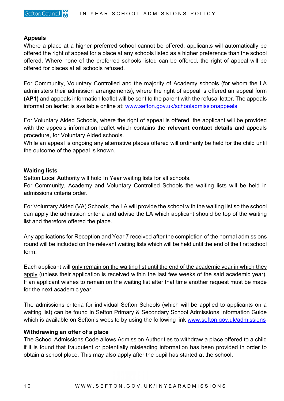

## **Appeals**

Where a place at a higher preferred school cannot be offered, applicants will automatically be offered the right of appeal for a place at any schools listed as a higher preference than the school offered. Where none of the preferred schools listed can be offered, the right of appeal will be offered for places at all schools refused.

For Community, Voluntary Controlled and the majority of Academy schools (for whom the LA administers their admission arrangements), where the right of appeal is offered an appeal form **(AP1)** and appeals information leaflet will be sent to the parent with the refusal letter. The appeals information leaflet is available online at: [www.sefton.gov.uk/schooladmissionappeals](https://www.sefton.gov.uk/schooladmissionappeals) 

For Voluntary Aided Schools, where the right of appeal is offered, the applicant will be provided with the appeals information leaflet which contains the **relevant contact details** and appeals procedure, for Voluntary Aided schools.

While an appeal is ongoing any alternative places offered will ordinarily be held for the child until the outcome of the appeal is known.

### **Waiting lists**

Sefton Local Authority will hold In Year waiting lists for all schools.

For Community, Academy and Voluntary Controlled Schools the waiting lists will be held in admissions criteria order.

For Voluntary Aided (VA) Schools, the LA will provide the school with the waiting list so the school can apply the admission criteria and advise the LA which applicant should be top of the waiting list and therefore offered the place.

Any applications for Reception and Year 7 received after the completion of the normal admissions round will be included on the relevant waiting lists which will be held until the end of the first school term.

Each applicant will only remain on the waiting list until the end of the academic year in which they apply (unless their application is received within the last few weeks of the said academic year). If an applicant wishes to remain on the waiting list after that time another request must be made for the next academic year.

The admissions criteria for individual Sefton Schools (which will be applied to applicants on a waiting list) can be found in Sefton Primary & Secondary School Admissions Information Guide which is available on Sefton's website by using the following link [www.sefton.gov.uk/admissions](http://www.sefton.gov.uk/admissions)

## **Withdrawing an offer of a place**

The School Admissions Code allows Admission Authorities to withdraw a place offered to a child if it is found that fraudulent or potentially misleading information has been provided in order to obtain a school place. This may also apply after the pupil has started at the school.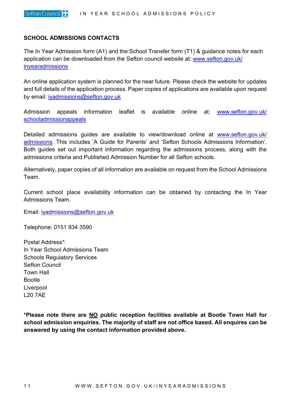### **SCHOOL ADMISSIONS CONTACTS**

The In Year Admission form (A1) and the School Transfer form (T1) & guidance notes for each application can be downloaded from the Sefton council website at: [www.sefton.gov.uk/](http://www.sefton.gov.uk/inyearadmissions) [inyearadmissions](http://www.sefton.gov.uk/inyearadmissions)

An online application system is planned for the near future. Please check the website for updates and full details of the application process. Paper copies of applications are available upon request by email: [iyadmissions@sefton.gov.uk](mailto:iyadmissions@sefton.gov.uk)

Admission appeals information leaflet is available online at: [www.sefton.gov.uk/](https://www.sefton.gov.uk/schooladmissionappeals) [schooladmissionappeals](https://www.sefton.gov.uk/schooladmissionappeals) 

Detailed admissions quides are available to view/download online at [www.sefton.gov.uk/](http://www.sefton.gov.uk/admissions) [admissions.](http://www.sefton.gov.uk/admissions) This includes 'A Guide for Parents' and 'Sefton Schools Admissions Information'. Both guides set out important information regarding the admissions process, along with the admissions criteria and Published Admission Number for all Sefton schools.

Alternatively, paper copies of all information are available on request from the School Admissions Team.

Current school place availability information can be obtained by contacting the In Year Admissions Team.

Email: [iyadmissions@sefton.gov.uk](mailto:iyadmissions@sefton.gov.uk)

Telephone: 0151 934 3590

Postal Address\*: In Year School Admissions Team Schools Regulatory Services Sefton Council Town Hall Bootle Liverpool L20 7AE

**\*Please note there are NO public reception facilities available at Bootle Town Hall for school admission enquiries. The majority of staff are not office based. All enquires can be answered by using the contact information provided above.**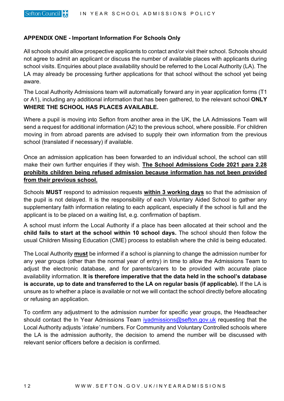## **APPENDIX ONE - Important Information For Schools Only**

All schools should allow prospective applicants to contact and/or visit their school. Schools should not agree to admit an applicant or discuss the number of available places with applicants during school visits. Enquiries about place availability should be referred to the Local Authority (LA). The LA may already be processing further applications for that school without the school yet being aware.

The Local Authority Admissions team will automatically forward any in year application forms (T1 or A1), including any additional information that has been gathered, to the relevant school **ONLY WHERE THE SCHOOL HAS PLACES AVAILABLE.**

Where a pupil is moving into Sefton from another area in the UK, the LA Admissions Team will send a request for additional information (A2) to the previous school, where possible. For children moving in from abroad parents are advised to supply their own information from the previous school (translated if necessary) if available.

Once an admission application has been forwarded to an individual school, the school can still make their own further enquiries if they wish. **The School Admissions Code 2021 para 2.28 prohibits children being refused admission because information has not been provided from their previous school.**

Schools **MUST** respond to admission requests **within 3 working days** so that the admission of the pupil is not delayed. It is the responsibility of each Voluntary Aided School to gather any supplementary faith information relating to each applicant, especially if the school is full and the applicant is to be placed on a waiting list, e.g. confirmation of baptism.

A school must inform the Local Authority if a place has been allocated at their school and the **child fails to start at the school within 10 school days.** The school should then follow the usual Children Missing Education (CME) process to establish where the child is being educated.

The Local Authority **must** be informed if a school is planning to change the admission number for any year groups (other than the normal year of entry) in time to allow the Admissions Team to adjust the electronic database, and for parents/carers to be provided with accurate place availability information. **It is therefore imperative that the data held in the school's database is accurate, up to date and transferred to the LA on regular basis (if applicable).** If the LA is unsure as to whether a place is available or not we will contact the school directly before allocating or refusing an application.

To confirm any adjustment to the admission number for specific year groups, the Headteacher should contact the In Year Admissions Team [iyadmissions@sefton.gov.uk](mailto:iyadmissions@sefton.gov.uk) requesting that the Local Authority adjusts '*intake'* numbers. For Community and Voluntary Controlled schools where the LA is the admission authority, the decision to amend the number will be discussed with relevant senior officers before a decision is confirmed.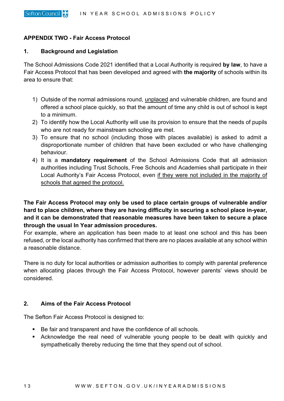## **APPENDIX TWO - Fair Access Protocol**

#### **1. Background and Legislation**

The School Admissions Code 2021 identified that a Local Authority is required **by law**, to have a Fair Access Protocol that has been developed and agreed with **the majority** of schools within its area to ensure that:

- 1) Outside of the normal admissions round, unplaced and vulnerable children, are found and offered a school place quickly, so that the amount of time any child is out of school is kept to a minimum.
- 2) To identify how the Local Authority will use its provision to ensure that the needs of pupils who are not ready for mainstream schooling are met.
- 3) To ensure that no school (including those with places available) is asked to admit a disproportionate number of children that have been excluded or who have challenging behaviour.
- 4) It is a **mandatory requirement** of the School Admissions Code that all admission authorities including Trust Schools, Free Schools and Academies shall participate in their Local Authority's Fair Access Protocol, even if they were not included in the majority of schools that agreed the protocol.

# **The Fair Access Protocol may only be used to place certain groups of vulnerable and/or hard to place children, where they are having difficulty in securing a school place in-year, and it can be demonstrated that reasonable measures have been taken to secure a place through the usual In Year admission procedures.**

For example, where an application has been made to at least one school and this has been refused, or the local authority has confirmed that there are no places available at any school within a reasonable distance.

There is no duty for local authorities or admission authorities to comply with parental preference when allocating places through the Fair Access Protocol, however parents' views should be considered.

## **2. Aims of the Fair Access Protocol**

The Sefton Fair Access Protocol is designed to:

- Be fair and transparent and have the confidence of all schools.
- Acknowledge the real need of vulnerable young people to be dealt with quickly and sympathetically thereby reducing the time that they spend out of school.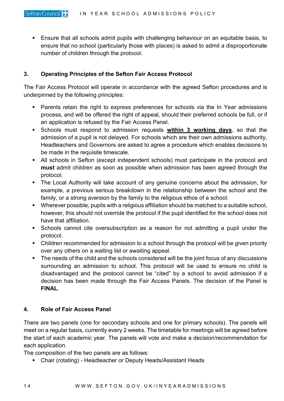Ensure that all schools admit pupils with challenging behaviour on an equitable basis, to ensure that no school (particularly those with places) is asked to admit a disproportionate number of children through the protocol.

## **3. Operating Principles of the Sefton Fair Access Protocol**

The Fair Access Protocol will operate in accordance with the agreed Sefton procedures and is underpinned by the following principles:

- **Parents retain the right to express preferences for schools via the In Year admissions** process, and will be offered the right of appeal, should their preferred schools be full, or if an application is refused by the Fair Access Panel.
- Schools must respond to admission requests **within 3 working days**, so that the admission of a pupil is not delayed. For schools which are their own admissions authority, Headteachers and Governors are asked to agree a procedure which enables decisions to be made in the requisite timescale.
- All schools in Sefton (except independent schools) must participate in the protocol and **must** admit children as soon as possible when admission has been agreed through the protocol.
- The Local Authority will take account of any genuine concerns about the admission, for example, a previous serious breakdown in the relationship between the school and the family, or a strong aversion by the family to the religious ethos of a school.
- Wherever possible, pupils with a religious affiliation should be matched to a suitable school, however, this should not override the protocol if the pupil identified for the school does not have that affiliation.
- Schools cannot cite oversubscription as a reason for not admitting a pupil under the protocol.
- Children recommended for admission to a school through the protocol will be given priority over any others on a waiting list or awaiting appeal.
- The needs of the child and the schools considered will be the joint focus of any discussions surrounding an admission to school. This protocol will be used to ensure no child is disadvantaged and the protocol cannot be "cited" by a school to avoid admission if a decision has been made through the Fair Access Panels. The decision of the Panel is **FINAL**.

## **4. Role of Fair Access Panel**

There are two panels (one for secondary schools and one for primary schools). The panels will meet on a regular basis, currently every 2 weeks. The timetable for meetings will be agreed before the start of each academic year. The panels will vote and make a decision/recommendation for each application.

The composition of the two panels are as follows:

■ Chair (rotating) - Headteacher or Deputy Heads/Assistant Heads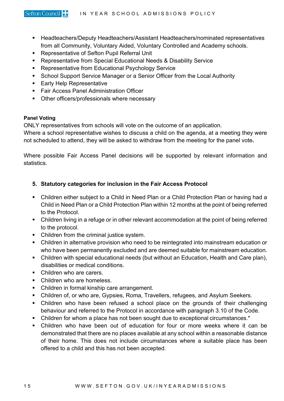- Headteachers/Deputy Headteachers/Assistant Headteachers/nominated representatives from all Community, Voluntary Aided, Voluntary Controlled and Academy schools.
- **Representative of Sefton Pupil Referral Unit**
- Representative from Special Educational Needs & Disability Service
- **Representative from Educational Psychology Service**
- **School Support Service Manager or a Senior Officer from the Local Authority**
- **Early Help Representative**
- **Fair Access Panel Administration Officer**
- **•** Other officers/professionals where necessary

#### **Panel Voting**

ONLY representatives from schools will vote on the outcome of an application.

Where a school representative wishes to discuss a child on the agenda, at a meeting they were not scheduled to attend, they will be asked to withdraw from the meeting for the panel vote**.** 

Where possible Fair Access Panel decisions will be supported by relevant information and statistics.

## **5. Statutory categories for inclusion in the Fair Access Protocol**

- Children either subject to a Child in Need Plan or a Child Protection Plan or having had a Child in Need Plan or a Child Protection Plan within 12 months at the point of being referred to the Protocol.
- Children living in a refuge or in other relevant accommodation at the point of being referred to the protocol.
- Children from the criminal justice system.
- Children in alternative provision who need to be reintegrated into mainstream education or who have been permanently excluded and are deemed suitable for mainstream education.
- Children with special educational needs (but without an Education, Health and Care plan), disabilities or medical conditions.
- Children who are carers.
- Children who are homeless.
- Children in formal kinship care arrangement.
- Children of, or who are, Gypsies, Roma, Travellers, refugees, and Asylum Seekers.
- Children who have been refused a school place on the grounds of their challenging behaviour and referred to the Protocol in accordance with paragraph 3.10 of the Code.
- Children for whom a place has not been sought due to exceptional circumstances.\*
- Children who have been out of education for four or more weeks where it can be demonstrated that there are no places available at any school within a reasonable distance of their home. This does not include circumstances where a suitable place has been offered to a child and this has not been accepted.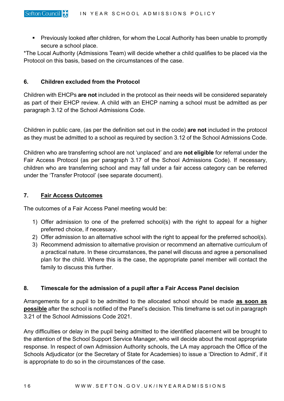Previously looked after children, for whom the Local Authority has been unable to promptly secure a school place.

\*The Local Authority (Admissions Team) will decide whether a child qualifies to be placed via the Protocol on this basis, based on the circumstances of the case.

## **6. Children excluded from the Protocol**

Children with EHCPs **are not** included in the protocol as their needs will be considered separately as part of their EHCP review. A child with an EHCP naming a school must be admitted as per paragraph 3.12 of the School Admissions Code.

Children in public care, (as per the definition set out in the code) **are not** included in the protocol as they must be admitted to a school as required by section 3.12 of the School Admissions Code.

Children who are transferring school are not 'unplaced' and are **not eligible** for referral under the Fair Access Protocol (as per paragraph 3.17 of the School Admissions Code). If necessary, children who are transferring school and may fall under a fair access category can be referred under the 'Transfer Protocol' (see separate document).

## **7. Fair Access Outcomes**

The outcomes of a Fair Access Panel meeting would be:

- 1) Offer admission to one of the preferred school(s) with the right to appeal for a higher preferred choice, if necessary.
- 2) Offer admission to an alternative school with the right to appeal for the preferred school(s).
- 3) Recommend admission to alternative provision or recommend an alternative curriculum of a practical nature. In these circumstances, the panel will discuss and agree a personalised plan for the child. Where this is the case, the appropriate panel member will contact the family to discuss this further.

## **8. Timescale for the admission of a pupil after a Fair Access Panel decision**

Arrangements for a pupil to be admitted to the allocated school should be made **as soon as possible** after the school is notified of the Panel's decision. This timeframe is set out in paragraph 3.21 of the School Admissions Code 2021.

Any difficulties or delay in the pupil being admitted to the identified placement will be brought to the attention of the School Support Service Manager, who will decide about the most appropriate response. In respect of own Admission Authority schools, the LA may approach the Office of the Schools Adjudicator (or the Secretary of State for Academies) to issue a 'Direction to Admit', if it is appropriate to do so in the circumstances of the case.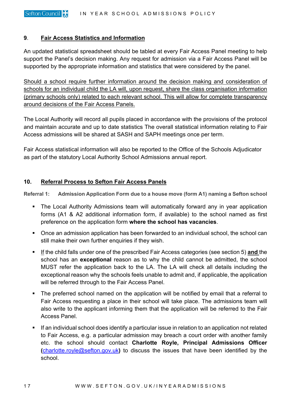## **9**. **Fair Access Statistics and Information**

An updated statistical spreadsheet should be tabled at every Fair Access Panel meeting to help support the Panel's decision making. Any request for admission via a Fair Access Panel will be supported by the appropriate information and statistics that were considered by the panel.

Should a school require further information around the decision making and consideration of schools for an individual child the LA will, upon request, share the class organisation information (primary schools only) related to each relevant school. This will allow for complete transparency around decisions of the Fair Access Panels.

The Local Authority will record all pupils placed in accordance with the provisions of the protocol and maintain accurate and up to date statistics The overall statistical information relating to Fair Access admissions will be shared at SASH and SAPH meetings once per term.

Fair Access statistical information will also be reported to the Office of the Schools Adjudicator as part of the statutory Local Authority School Admissions annual report.

## **10. Referral Process to Sefton Fair Access Panels**

**Referral 1: Admission Application Form due to a house move (form A1) naming a Sefton school**

- The Local Authority Admissions team will automatically forward any in year application forms (A1 & A2 additional information form, if available) to the school named as first preference on the application form **where the school has vacancies**.
- Once an admission application has been forwarded to an individual school, the school can still make their own further enquiries if they wish.
- If the child falls under one of the prescribed Fair Access categories (see section 5) **and** the school has an **exceptional** reason as to why the child cannot be admitted, the school MUST refer the application back to the LA. The LA will check all details including the exceptional reason why the schools feels unable to admit and, if applicable, the application will be referred through to the Fair Access Panel.
- The preferred school named on the application will be notified by email that a referral to Fair Access requesting a place in their school will take place. The admissions team will also write to the applicant informing them that the application will be referred to the Fair Access Panel.
- If an individual school does identify a particular issue in relation to an application not related to Fair Access, e.g. a particular admission may breach a court order with another family etc. the school should contact **Charlotte Royle, Principal Admissions Officer (**[charlotte.royle@sefton.gov.uk](mailto:charlotte.royle@sefton.gov.uk)**)** to discuss the issues that have been identified by the school.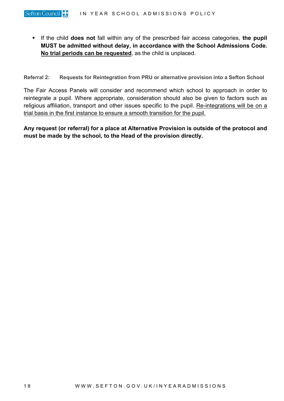If the child **does not** fall within any of the prescribed fair access categories, **the pupil MUST be admitted without delay, in accordance with the School Admissions Code. No trial periods can be requested**, as the child is unplaced.

**Referral 2: Requests for Reintegration from PRU or alternative provision into a Sefton School**

The Fair Access Panels will consider and recommend which school to approach in order to reintegrate a pupil. Where appropriate, consideration should also be given to factors such as religious affiliation, transport and other issues specific to the pupil. Re-integrations will be on a trial basis in the first instance to ensure a smooth transition for the pupil.

**Any request (or referral) for a place at Alternative Provision is outside of the protocol and must be made by the school, to the Head of the provision directly.**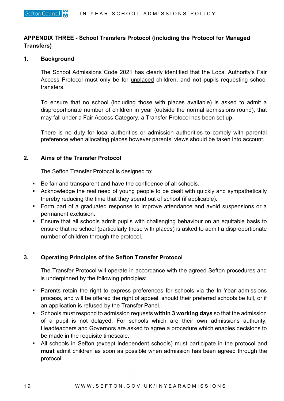## **APPENDIX THREE - School Transfers Protocol (including the Protocol for Managed Transfers)**

## **1. Background**

The School Admissions Code 2021 has clearly identified that the Local Authority's Fair Access Protocol must only be for unplaced children, and **not** pupils requesting school transfers.

To ensure that no school (including those with places available) is asked to admit a disproportionate number of children in year (outside the normal admissions round), that may fall under a Fair Access Category, a Transfer Protocol has been set up.

There is no duty for local authorities or admission authorities to comply with parental preference when allocating places however parents' views should be taken into account.

## **2. Aims of the Transfer Protocol**

The Sefton Transfer Protocol is designed to:

- Be fair and transparent and have the confidence of all schools.
- Acknowledge the real need of young people to be dealt with quickly and sympathetically thereby reducing the time that they spend out of school (if applicable).
- **Form part of a graduated response to improve attendance and avoid suspensions or a** permanent exclusion.
- Ensure that all schools admit pupils with challenging behaviour on an equitable basis to ensure that no school (particularly those with places) is asked to admit a disproportionate number of children through the protocol.

## **3. Operating Principles of the Sefton Transfer Protocol**

The Transfer Protocol will operate in accordance with the agreed Sefton procedures and is underpinned by the following principles:

- Parents retain the right to express preferences for schools via the In Year admissions process, and will be offered the right of appeal, should their preferred schools be full, or if an application is refused by the Transfer Panel.
- Schools must respond to admission requests **within 3 working days** so that the admission of a pupil is not delayed. For schools which are their own admissions authority, Headteachers and Governors are asked to agree a procedure which enables decisions to be made in the requisite timescale.
- All schools in Sefton (except independent schools) must participate in the protocol and **must** admit children as soon as possible when admission has been agreed through the protocol.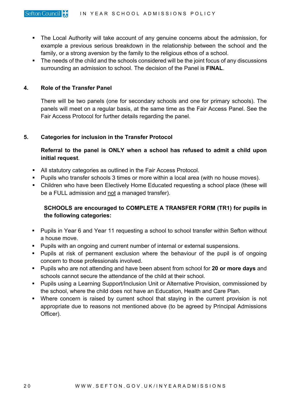- **The Local Authority will take account of any genuine concerns about the admission, for** example a previous serious breakdown in the relationship between the school and the family, or a strong aversion by the family to the religious ethos of a school.
- The needs of the child and the schools considered will be the joint focus of any discussions surrounding an admission to school. The decision of the Panel is **FINAL**.

## **4. Role of the Transfer Panel**

There will be two panels (one for secondary schools and one for primary schools). The panels will meet on a regular basis, at the same time as the Fair Access Panel. See the Fair Access Protocol for further details regarding the panel.

## **5. Categories for inclusion in the Transfer Protocol**

**Referral to the panel is ONLY when a school has refused to admit a child upon initial request**.

- All statutory categories as outlined in the Fair Access Protocol.
- **Pupils who transfer schools 3 times or more within a local area (with no house moves).**
- Children who have been Electively Home Educated requesting a school place (these will be a FULL admission and not a managed transfer).

# **SCHOOLS are encouraged to COMPLETE A TRANSFER FORM (TR1) for pupils in the following categories:**

- Pupils in Year 6 and Year 11 requesting a school to school transfer within Sefton without a house move.
- **Pupils with an ongoing and current number of internal or external suspensions.**
- **Pupils at risk of permanent exclusion where the behaviour of the pupil is of ongoing** concern to those professionals involved.
- Pupils who are not attending and have been absent from school for **20 or more days** and schools cannot secure the attendance of the child at their school.
- **Pupils using a Learning Support/Inclusion Unit or Alternative Provision, commissioned by** the school, where the child does not have an Education, Health and Care Plan.
- Where concern is raised by current school that staying in the current provision is not appropriate due to reasons not mentioned above (to be agreed by Principal Admissions Officer).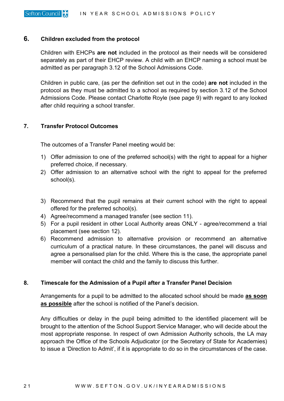## **6. Children excluded from the protocol**

Children with EHCPs **are not** included in the protocol as their needs will be considered separately as part of their EHCP review. A child with an EHCP naming a school must be admitted as per paragraph 3.12 of the School Admissions Code.

Children in public care, (as per the definition set out in the code) **are not** included in the protocol as they must be admitted to a school as required by section 3.12 of the School Admissions Code. Please contact Charlotte Royle (see page 9) with regard to any looked after child requiring a school transfer.

## **7. Transfer Protocol Outcomes**

The outcomes of a Transfer Panel meeting would be:

- 1) Offer admission to one of the preferred school(s) with the right to appeal for a higher preferred choice, if necessary.
- 2) Offer admission to an alternative school with the right to appeal for the preferred school(s).
- 3) Recommend that the pupil remains at their current school with the right to appeal offered for the preferred school(s).
- 4) Agree/recommend a managed transfer (see section 11).
- 5) For a pupil resident in other Local Authority areas ONLY agree/recommend a trial placement (see section 12).
- 6) Recommend admission to alternative provision or recommend an alternative curriculum of a practical nature. In these circumstances, the panel will discuss and agree a personalised plan for the child. Where this is the case, the appropriate panel member will contact the child and the family to discuss this further.

## **8. Timescale for the Admission of a Pupil after a Transfer Panel Decision**

Arrangements for a pupil to be admitted to the allocated school should be made **as soon as possible** after the school is notified of the Panel's decision.

Any difficulties or delay in the pupil being admitted to the identified placement will be brought to the attention of the School Support Service Manager, who will decide about the most appropriate response. In respect of own Admission Authority schools, the LA may approach the Office of the Schools Adjudicator (or the Secretary of State for Academies) to issue a 'Direction to Admit', if it is appropriate to do so in the circumstances of the case.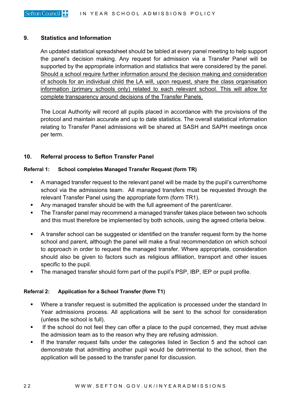## **9. Statistics and Information**

An updated statistical spreadsheet should be tabled at every panel meeting to help support the panel's decision making. Any request for admission via a Transfer Panel will be supported by the appropriate information and statistics that were considered by the panel. Should a school require further information around the decision making and consideration of schools for an individual child the LA will, upon request, share the class organisation information (primary schools only) related to each relevant school. This will allow for complete transparency around decisions of the Transfer Panels.

The Local Authority will record all pupils placed in accordance with the provisions of the protocol and maintain accurate and up to date statistics. The overall statistical information relating to Transfer Panel admissions will be shared at SASH and SAPH meetings once per term.

## **10. Referral process to Sefton Transfer Panel**

### **Referral 1: School completes Managed Transfer Request (form TR)**

- A managed transfer request to the relevant panel will be made by the pupil's current/home school via the admissions team. All managed transfers must be requested through the relevant Transfer Panel using the appropriate form (form TR1).
- Any managed transfer should be with the full agreement of the parent/carer.
- **The Transfer panel may recommend a managed transfer takes place between two schools** and this must therefore be implemented by both schools, using the agreed criteria below.
- A transfer school can be suggested or identified on the transfer request form by the home school and parent, although the panel will make a final recommendation on which school to approach in order to request the managed transfer. Where appropriate, consideration should also be given to factors such as religious affiliation, transport and other issues specific to the pupil.
- The managed transfer should form part of the pupil's PSP, IBP, IEP or pupil profile.

## **Referral 2: Application for a School Transfer (form T1)**

- Where a transfer request is submitted the application is processed under the standard In Year admissions process. All applications will be sent to the school for consideration (unless the school is full).
- If the school do not feel they can offer a place to the pupil concerned, they must advise the admission team as to the reason why they are refusing admission.
- If the transfer request falls under the categories listed in Section 5 and the school can demonstrate that admitting another pupil would be detrimental to the school, then the application will be passed to the transfer panel for discussion.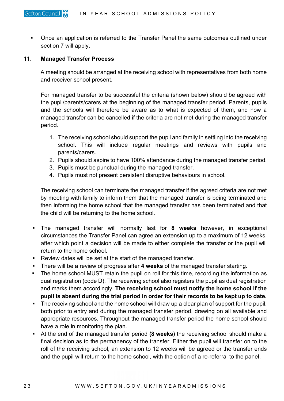**• Once an application is referred to the Transfer Panel the same outcomes outlined under** section 7 will apply.

### **11. Managed Transfer Process**

A meeting should be arranged at the receiving school with representatives from both home and receiver school present.

For managed transfer to be successful the criteria (shown below) should be agreed with the pupil/parents/carers at the beginning of the managed transfer period. Parents, pupils and the schools will therefore be aware as to what is expected of them, and how a managed transfer can be cancelled if the criteria are not met during the managed transfer period.

- 1. The receiving school should support the pupil and family in settling into the receiving school. This will include regular meetings and reviews with pupils and parents/carers.
- 2. Pupils should aspire to have 100% attendance during the managed transfer period.
- 3. Pupils must be punctual during the managed transfer.
- 4. Pupils must not present persistent disruptive behaviours in school.

The receiving school can terminate the managed transfer if the agreed criteria are not met by meeting with family to inform them that the managed transfer is being terminated and then informing the home school that the managed transfer has been terminated and that the child will be returning to the home school.

- The managed transfer will normally last for **8 weeks** however, in exceptional circumstances the Transfer Panel can agree an extension up to a maximum of 12 weeks, after which point a decision will be made to either complete the transfer or the pupil will return to the home school.
- Review dates will be set at the start of the managed transfer.
- There will be a review of progress after **4 weeks** of the managed transfer starting.
- The home school MUST retain the pupil on roll for this time, recording the information as dual registration (code D). The receiving school also registers the pupil as dual registration and marks them accordingly. **The receiving school must notify the home school if the pupil is absent during the trial period in order for their records to be kept up to date.**
- The receiving school and the home school will draw up a clear plan of support for the pupil, both prior to entry and during the managed transfer period, drawing on all available and appropriate resources. Throughout the managed transfer period the home school should have a role in monitoring the plan.
- At the end of the managed transfer period **(8 weeks)** the receiving school should make a final decision as to the permanency of the transfer. Either the pupil will transfer on to the roll of the receiving school, an extension to 12 weeks will be agreed or the transfer ends and the pupil will return to the home school, with the option of a re-referral to the panel.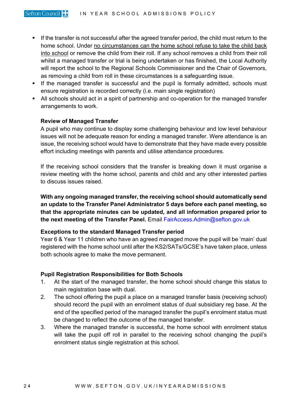- If the transfer is not successful after the agreed transfer period, the child must return to the home school. Under no circumstances can the home school refuse to take the child back into school or remove the child from their roll. If any school removes a child from their roll whilst a managed transfer or trial is being undertaken or has finished, the Local Authority will report the school to the Regional Schools Commissioner and the Chair of Governors, as removing a child from roll in these circumstances is a safeguarding issue.
- **If the managed transfer is successful and the pupil is formally admitted, schools must** ensure registration is recorded correctly (i.e. main single registration)
- All schools should act in a spirit of partnership and co-operation for the managed transfer arrangements to work.

### **Review of Managed Transfer**

A pupil who may continue to display some challenging behaviour and low level behaviour issues will not be adequate reason for ending a managed transfer. Were attendance is an issue, the receiving school would have to demonstrate that they have made every possible effort including meetings with parents and utilise attendance procedures.

If the receiving school considers that the transfer is breaking down it must organise a review meeting with the home school, parents and child and any other interested parties to discuss issues raised.

**With any ongoing managed transfer, the receiving school should automatically send an update to the Transfer Panel Administrator 5 days before each panel meeting, so that the appropriate minutes can be updated, and all information prepared prior to the next meeting of the Transfer Panel.** Email [FairAccess.Admin@sefton.gov.uk](mailto:FairAccess.Admin@sefton.gov.uk)

## **Exceptions to the standard Managed Transfer period**

Year 6 & Year 11 children who have an agreed managed move the pupil will be 'main' dual registered with the home school until after the KS2/SATs/GCSE's have taken place, unless both schools agree to make the move permanent.

## **Pupil Registration Responsibilities for Both Schools**

- 1. At the start of the managed transfer, the home school should change this status to main registration base with dual.
- 2. The school offering the pupil a place on a managed transfer basis (receiving school) should record the pupil with an enrolment status of dual subsidiary reg base. At the end of the specified period of the managed transfer the pupil's enrolment status must be changed to reflect the outcome of the managed transfer.
- 3. Where the managed transfer is successful, the home school with enrolment status will take the pupil off roll in parallel to the receiving school changing the pupil's enrolment status single registration at this school.